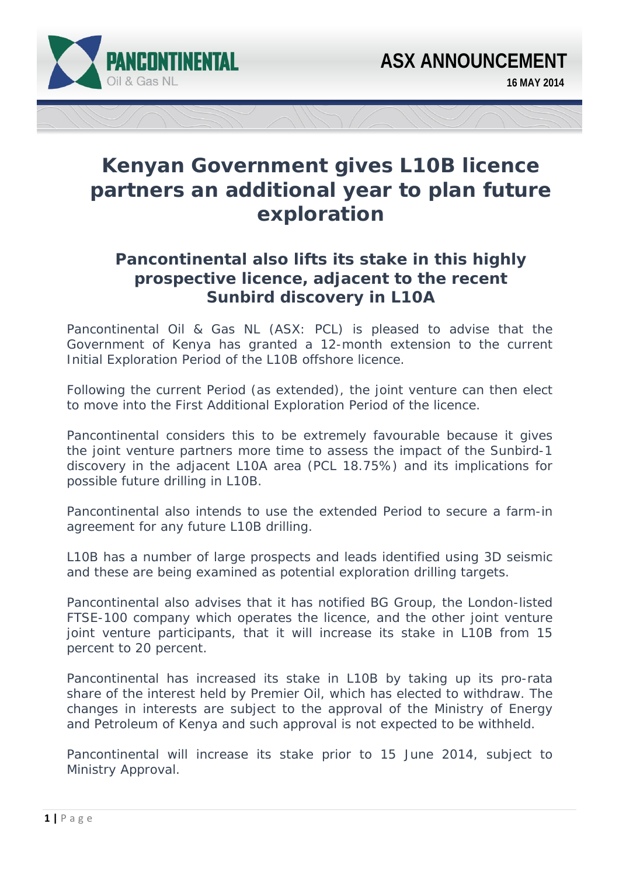

## **Kenyan Government gives L10B licence partners an additional year to plan future exploration**

## *Pancontinental also lifts its stake in this highly prospective licence, adjacent to the recent Sunbird discovery in L10A*

Pancontinental Oil & Gas NL (ASX: PCL) is pleased to advise that the Government of Kenya has granted a 12-month extension to the current Initial Exploration Period of the L10B offshore licence.

Following the current Period (as extended), the joint venture can then elect to move into the First Additional Exploration Period of the licence.

Pancontinental considers this to be extremely favourable because it gives the joint venture partners more time to assess the impact of the Sunbird-1 discovery in the adjacent L10A area (PCL 18.75%) and its implications for possible future drilling in L10B.

Pancontinental also intends to use the extended Period to secure a farm-in agreement for any future L10B drilling.

L10B has a number of large prospects and leads identified using 3D seismic and these are being examined as potential exploration drilling targets.

Pancontinental also advises that it has notified BG Group, the London-listed FTSE-100 company which operates the licence, and the other joint venture joint venture participants, that it will increase its stake in L10B from 15 percent to 20 percent.

Pancontinental has increased its stake in L10B by taking up its pro-rata share of the interest held by Premier Oil, which has elected to withdraw. The changes in interests are subject to the approval of the Ministry of Energy and Petroleum of Kenya and such approval is not expected to be withheld.

Pancontinental will increase its stake prior to 15 June 2014, subject to Ministry Approval.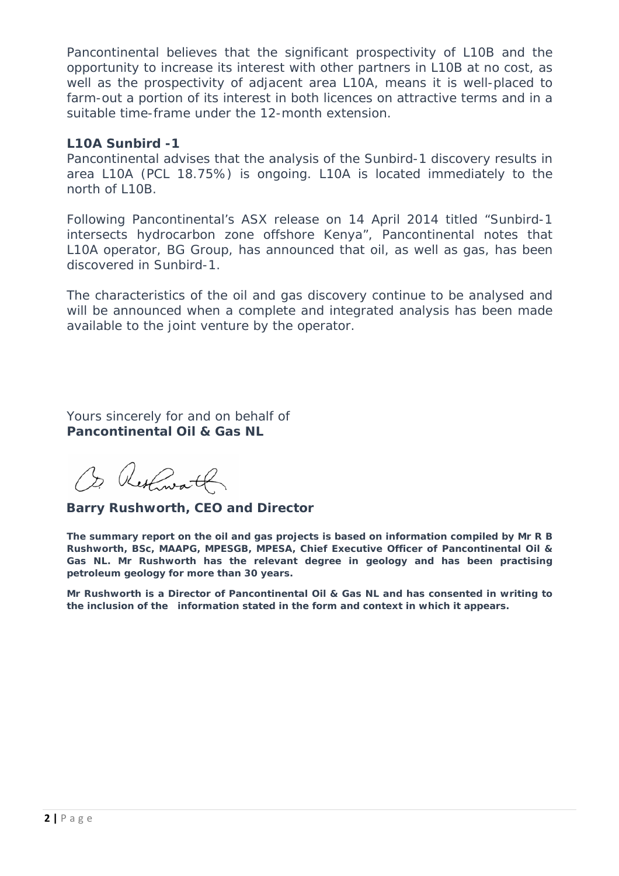Pancontinental believes that the significant prospectivity of L10B and the opportunity to increase its interest with other partners in L10B at no cost, as well as the prospectivity of adjacent area L10A, means it is well-placed to farm-out a portion of its interest in both licences on attractive terms and in a suitable time-frame under the 12-month extension.

## **L10A Sunbird -1**

Pancontinental advises that the analysis of the Sunbird-1 discovery results in area L10A (PCL 18.75%) is ongoing. L10A is located immediately to the north of L10B.

Following Pancontinental's ASX release on 14 April 2014 titled "Sunbird-1 intersects hydrocarbon zone offshore Kenya", Pancontinental notes that L10A operator, BG Group, has announced that oil, as well as gas, has been discovered in Sunbird-1.

The characteristics of the oil and gas discovery continue to be analysed and will be announced when a complete and integrated analysis has been made available to the joint venture by the operator.

Yours sincerely for and on behalf of **Pancontinental Oil & Gas NL** 

Or Restimath

**Barry Rushworth, CEO and Director** 

*The summary report on the oil and gas projects is based on information compiled by Mr R B Rushworth, BSc, MAAPG, MPESGB, MPESA, Chief Executive Officer of Pancontinental Oil &*  Gas NL. Mr Rushworth has the relevant degree in geology and has been practising *petroleum geology for more than 30 years.* 

*Mr Rushworth is a Director of Pancontinental Oil & Gas NL and has consented in writing to the inclusion of the information stated in the form and context in which it appears.*